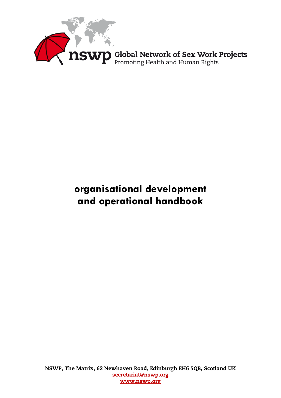

# **organisational development and operational handbook**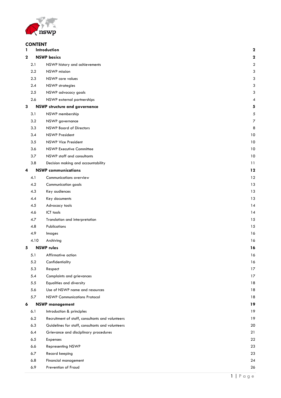

# **CONTENT**<br>1 Introde

| 1           |      | Introduction                                     | $\boldsymbol{2}$ |
|-------------|------|--------------------------------------------------|------------------|
| $\mathbf 2$ |      | <b>NSWP</b> basics                               | $\boldsymbol{2}$ |
|             | 2.1  | NSWP history and achievements                    | $\boldsymbol{2}$ |
|             | 2.2  | <b>NSWP</b> mission                              | 3                |
|             | 2.3  | NSWP core values                                 | 3                |
|             | 2.4  | <b>NSWP</b> strategies                           | 3                |
|             | 2.5  | NSWP advocacy goals                              | 3                |
|             | 2.6  | NSWP external partnerships                       | 4                |
| 3           |      | <b>NSWP structure and governance</b>             | 5                |
|             | 3.1  | NSWP membership                                  | 5                |
|             | 3.2  | NSWP governance                                  | $\overline{7}$   |
|             | 3.3  | <b>NSWP Board of Directors</b>                   | 8                |
|             | 3.4  | <b>NSWP President</b>                            | 10               |
|             | 3.5  | <b>NSWP Vice President</b>                       | 10               |
|             | 3.6  | <b>NSWP Executive Committee</b>                  | 10               |
|             | 3.7  | NSWP staff and consultants                       | 10               |
|             | 3.8  | Decision making and accountability               | 11               |
| 4           |      | <b>NSWP</b> communications                       | 12               |
|             | 4.1  | Communications overview                          | 12               |
|             | 4.2  | Communication goals                              | 13               |
|             | 4.3  | Key audiences                                    | 13               |
|             | 4.4  | Key documents                                    | 13               |
|             | 4.5  | Advocacy tools                                   | 14               |
|             | 4.6  | ICT tools                                        | 14               |
|             | 4.7  | Translation and interpretation                   | 15               |
|             | 4.8  | Publications                                     | 15               |
|             | 4.9  | Images                                           | 16               |
|             | 4.10 | Archiving                                        | 16               |
| 5           |      | <b>NSWP</b> rules                                | 16               |
|             | 5.1  | Affirmative action                               | 16               |
|             | 5.2  | Confidentiality                                  | 16               |
|             | 5.3  | Respect                                          | 17               |
|             | 5.4  | Complaints and grievances                        | 17               |
|             | 5.5  | Equalities and diversity                         | 18               |
|             | 5.6  | Use of NSWP name and resources                   | 18               |
|             | 5.7  | <b>NSWP Communications Protocol</b>              | 18               |
| 6           |      | <b>NSWP management</b>                           | 19               |
|             | 6.1  | Introduction & principles                        | 19               |
|             | 6.2  | Recruitment of staff, consultants and volunteers | 19               |
|             | 6.3  | Guidelines for staff, consultants and volunteers | 20               |
|             | 6.4  | Grievance and disciplinary procedures            | 21               |
|             | 6.5  | Expenses                                         | 22               |
|             | 6.6  | Representing NSWP                                | 23               |
|             | 6.7  | Record keeping                                   | 23               |
|             | 6.8  | Financial management                             | 24               |
|             | 6.9  | Prevention of Fraud                              | 26               |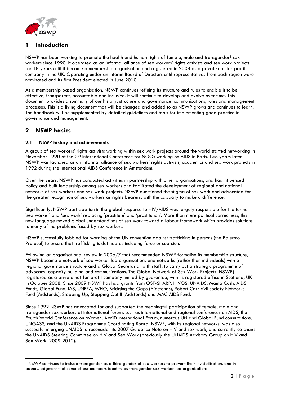

# <span id="page-2-0"></span>**1 Introduction**

NSWP has been working to promote the health and human rights of female, male and transgender<sup>[1](#page-2-3)</sup> sex workers since 1990. It operated as an informal alliance of sex workers' rights activists and sex work projects for 18 years until it became a membership organisation and registered in 2008 as a private not-for-profit company in the UK. Operating under an Interim Board of Directors until representatives from each region were nominated and its first President elected in June 2010.

As a membership based organisation, NSWP continues refining its structure and rules to enable it to be effective, transparent, accountable and inclusive. It will continue to develop and evolve over time. This document provides a summary of our history, structure and governance, communications, rules and management processes. This is a living document that will be changed and added to as NSWP grows and continues to learn. The handbook will be supplemented by detailed guidelines and tools for implementing good practice in governance and management.

# <span id="page-2-1"></span>**2 NSWP basics**

# <span id="page-2-2"></span>**2.1 NSWP history and achievements**

A group of sex workers' rights activists working within sex work projects around the world started networking in November 1990 at the 2<sup>nd</sup> International Conference for NGOs working on AIDS in Paris. Two years later NSWP was launched as an informal alliance of sex workers' rights activists, academics and sex work projects in 1992 during the International AIDS Conference in Amsterdam.

Over the years, NSWP has conducted activities in partnership with other organisations, and has influenced policy and built leadership among sex workers and facilitated the development of regional and national networks of sex workers and sex work projects. NSWP questioned the stigma of sex work and advocated for the greater recognition of sex workers as rights bearers, with the capacity to make a difference.

Significantly, NSWP participation in the global response to HIV/AIDS was largely responsible for the terms 'sex worker' and 'sex work' replacing 'prostitute' and 'prostitution'. More than mere political correctness, this new language moved global understandings of sex work toward a labour framework which provides solutions to many of the problems faced by sex workers.

NSWP successfully lobbied for wording of the UN convention against trafficking in persons (the Palermo Protocol) to ensure that trafficking is defined as including force or coercion.

Following an organisational review in 2006/7 that recommended NSWP formalise its membership structure, NSWP became a network of sex worker-led organisations and networks (rather than individuals) with a regional governance structure and a Global Secretariat with staff, to carry out a strategic programme of advocacy, capacity building and communications. The Global Network of Sex Work Projects (NSWP) registered as a private not-for-profit company limited by guarantee, with its registered office in Scotland, UK in October 2008. Since 2009 NSWP has had grants from OSF-SHARP, HIVOS, UNAIDS, Mama Cash, AIDS Fonds, Global Fund, IAS, UNFPA, WHO, Bridging the Gaps (Aidsfonds), Robert Carr civil society Networks Fund (Aidsfonds), Stepping Up, Stepping Out II (Aidsfonds) and MAC AIDS Fund.

Since 1992 NSWP has advocated for and supported the meaningful participation of female, male and transgender sex workers at international forums such as international and regional conferences on AIDS, the Fourth World Conference on Women, AWID International Forum, numerous UN and Global Fund consultations, UNGASS, and the UNAIDS Programme Coordinating Board. NSWP, with its regional networks, was also successful in urging UNAIDS to reconsider its 2007 Guidance Note on HIV and sex work, and currently co-chairs the UNAIDS Steering Committee on HIV and Sex Work (previously the UNAIDS Advisory Group on HIV and Sex Work, 2009-2012).

<span id="page-2-3"></span><sup>&</sup>lt;sup>1</sup> NSWP continues to include transgender as a third gender of sex workers to prevent their invisibilisation, and in acknowledgment that some of our members identify as transgender sex worker-led organisations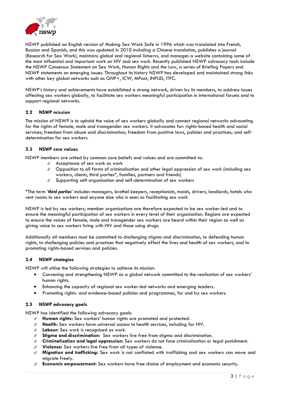

NSWP published an English version of Making Sex Work Safe in 1996 which was translated into French, Russian and Spanish, and this was updated in 2010 including a Chinese translation, publishes a journal (Research for Sex Work), maintains global and regional listservs, and manages a website containing some of the most influential and important work on HIV and sex work. Recently published NSWP advocacy tools include the NSWP Consensus Statement on Sex Work, Human Rights and the Law, a series of Briefing Papers and NSWP statements on emerging issues. Throughout its history NSWP has developed and maintained strong links with other key global networks such as GNP+, ICW, MPact, INPUD, ITPC.

NSWP's history and achievements have established a strong network, driven by its members, to address issues affecting sex workers globally, to facilitate sex workers meaningful participation in international forums and to support regional networks.

# <span id="page-3-0"></span>**2.2 NSWP mission**

The mission of NSWP is to uphold the voice of sex workers globally and connect regional networks advocating for the rights of female, male and transgender sex workers. It advocates for: rights-based health and social services; freedom from abuse and discrimination; freedom from punitive laws, policies and practices; and selfdetermination for sex workers.

# <span id="page-3-1"></span>**2.3 NSWP core values**

NSWP members are united by common core beliefs and values and are committed to:

- $\hat{P}$  Acceptance of sex work as work
- $\hat{\varphi}$  Opposition to all forms of criminalisation and other legal oppression of sex work (including sex workers, clients, third parties\*, families, partners and friends)
- $\hat{\varphi}$  Supporting self-organisation and self-determination of sex workers

\*The term '*third parties*' includes managers, brothel keepers, receptionists, maids, drivers, landlords, hotels who rent rooms to sex workers and anyone else who is seen as facilitating sex work

NSWP is led by sex workers; member organisations are therefore expected to be sex worker-led and to ensure the meaningful participation of sex workers in every level of their organisation. Regions are expected to ensure the voices of female, male and transgender sex workers are heard within their region as well as giving voice to sex workers living with HIV and those using drugs.

Additionally all members must be committed to challenging stigma and discrimination, to defending human rights, to challenging policies and practices that negatively affect the lives and health of sex workers, and to promoting rights-based services and policies.

# <span id="page-3-2"></span>**2.4 NSWP strategies**

NSWP will utilise the following strategies to achieve its mission:

- Convening and strengthening NSWP as a global network committed to the realisation of sex workers' human rights.
- Enhancing the capacity of regional sex worker-led networks and emerging leaders.
- Promoting rights- and evidence-based policies and programmes, for and by sex workers.

# <span id="page-3-3"></span>**2.5 NSWP advocacy goals**

NSWP has identified the following advocacy goals:

- **Human rights:** Sex workers' human rights are promoted and protected.
- **Health:** Sex workers have universal access to health services, including for HIV.
- **Labour:** Sex work is recognised as work.
- **Stigma and discrimination:** Sex workers live free from stigma and discrimination.
- **Criminalisation and legal oppression:** Sex workers do not face criminalisation or legal punishment.
- **Violence:** Sex workers live free from all types of violence.
- **Migration and trafficking:** Sex work is not conflated with trafficking and sex workers can move and migrate freely.
- **Economic empowerment:** Sex workers have free choice of employment and economic security.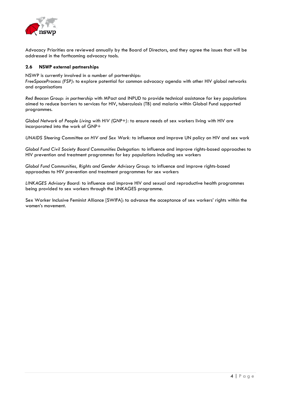

Advocacy Priorities are reviewed annually by the Board of Directors, and they agree the issues that will be addressed in the forthcoming advocacy tools.

### <span id="page-4-0"></span>**2.6 NSWP external partnerships**

NSWP is currently involved in a number of partnerships:

*FreeSpaceProcess (FSP)*: to explore potential for common advocacy agenda with other HIV global networks and organisations

*Red Beacon Group: in partnership* with MPact and INPUD to provide technical assistance for key populations aimed to reduce barriers to services for HIV, tuberculosis (TB) and malaria within Global Fund supported programmes.

*Global Network of People Living with HIV (GNP+):* to ensure needs of sex workers living with HIV are incorporated into the work of GNP+

*UNAIDS Steering Committee on HIV and Sex Work:* to influence and improve UN policy on HIV and sex work

*Global Fund Civil Society Board Communities Delegation:* to influence and improve rights-based approaches to HIV prevention and treatment programmes for key populations including sex workers

*Global Fund Communities, Rights and Gender Advisory Group:* to influence and improve rights-based approaches to HIV prevention and treatment programmes for sex workers

*LINKAGES Advisory Board:* to influence and improve HIV and sexual and reproductive health programmes being provided to sex workers through the LINKAGES programme.

Sex Worker Inclusive Feminist Alliance [SWIFA]: to advance the acceptance of sex workers' rights within the women's movement.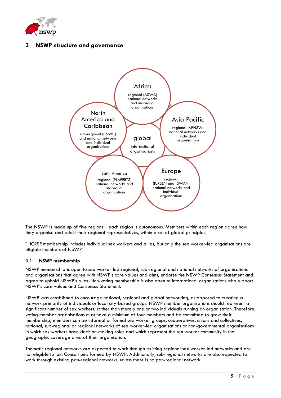

# <span id="page-5-0"></span>**3 NSWP structure and governance**



The NSWP is made up of five regions – each region is autonomous. Members within each region agree how they organise and select their regional representatives, within a set of global principles.

**\*** ICRSE membership includes individual sex workers and allies, but only the sex worker-led organisations are eligible members of NSWP

# <span id="page-5-1"></span>**3.1 NSWP membership**

NSWP membership is open to sex worker-led regional, sub-regional and national networks of organisations and organisations that agree with NSWP's core values and aims, endorse the NSWP Consensus Statement and agree to uphold NSWP's rules. Non-voting membership is also open to international organisations who support NSWP's core values and Consensus Statement.

NSWP was established to encourage national, regional and global networking, as opposed to creating a network primarily of individuals or local city-based groups. NSWP member organisations should represent a significant number of sex workers, rather than merely one or two individuals running an organisation. Therefore, voting member organisations must have a minimum of four members and be committed to grow their membership; members can be informal or formal sex worker groups, cooperatives, unions and collectives, national, sub-regional or regional networks of sex worker-led organisations or non-governmental organisations in which sex workers have decision-making roles and which represent the sex worker community in the geographic coverage area of their organisation.

Thematic regional networks are expected to work through existing regional sex worker-led networks and are not eligible to join Consortiums formed by NSWP. Additionally, sub-regional networks are also expected to work through existing pan-regional networks, unless there is no pan-regional network.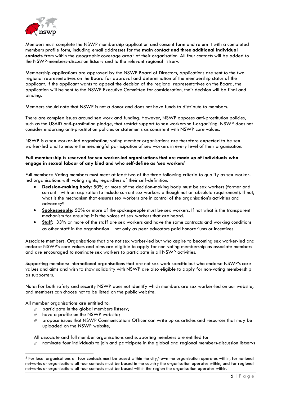

Members must complete the NSWP membership application and consent form and return it with a completed members profile form, including email addresses for the **main contact and three additional individual contacts** from within the geographic coverage area<sup>[2](#page-6-0)</sup> of their organisation. All four contacts will be added to the NSWP-members-discussion listserv and to the relevant regional listserv.

Membership applications are approved by the NSWP Board of Directors, applications are sent to the two regional representatives on the Board for approval and determination of the membership status of the applicant. If the applicant wants to appeal the decision of the regional representatives on the Board, the application will be sent to the NSWP Executive Committee for consideration, their decision will be final and binding.

Members should note that NSWP is not a donor and does not have funds to distribute to members.

There are complex issues around sex work and funding. However, NSWP opposes anti-prostitution policies, such as the USAID anti-prostitution pledge, that restrict support to sex workers self-organising. NSWP does not consider endorsing anti-prostitution policies or statements as consistent with NSWP core values.

NSWP is a sex worker-led organisation; voting member organisations are therefore expected to be sex worker-led and to ensure the meaningful participation of sex workers in every level of their organisation.

### **Full membership is reserved for sex worker-led organisations that are made up of individuals who engage in sexual labour of any kind and who self-define as 'sex workers'**

Full members: Voting members must meet at least two of the three following criteria to qualify as sex workerled organisations with voting rights, regardless of their self-definition.

- **Decision-making body:** 50% or more of the decision-making body must be sex workers (former and current - with an aspiration to include current sex workers although not an absolute requirement). If not, what is the mechanism that ensures sex workers are in control of the organisation's activities and advocacy?
- **Spokespeople:** 50% or more of the spokespeople must be sex workers. If not what is the transparent mechanism for ensuring it is the voices of sex workers that are heard.
- **Staff:** 33% or more of the staff are sex workers and have the same contracts and working conditions as other staff in the organisation – not only as peer educators paid honorariums or incentives.

Associate members: Organisations that are not sex worker-led but who aspire to becoming sex worker-led and endorse NSWP's core values and aims are eligible to apply for non-voting membership as associate members and are encouraged to nominate sex workers to participate in all NSWP activities.

Supporting members: International organisations that are not sex work specific but who endorse NSWP's core values and aims and wish to show solidarity with NSWP are also eligible to apply for non-voting membership as supporters.

Note: For both safety and security NSWP does not identify which members are sex worker-led on our website, and members can choose not to be listed on the public website.

All member organisations are entitled to:

- $\hat{F}$  participate in the global members listserv;
- $\hat{F}$  have a profile on the NSWP website;
- $\phi$  propose issues that NSWP Communications Officer can write up as articles and resources that may be uploaded on the NSWP website;

All associate and full member organisations and supporting members are entitled to:

 $\phi$  nominate four individuals to join and participate in the global and regional members-discussion listservs

<span id="page-6-0"></span> $<sup>2</sup>$  For local organisations all four contacts must be based within the city/town the organisation operates within, for national</sup> networks or organisations all four contacts must be based in the country the organisation operates within, and for regional networks or organisations all four contacts must be based within the region the organisation operates within.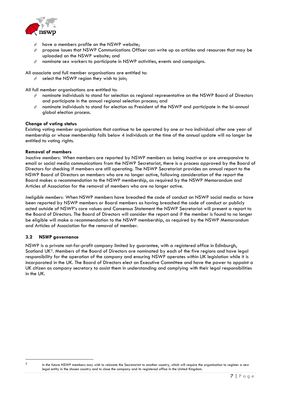

- have a members profile on the NSWP website;
- propose issues that NSWP Communications Officer can write up as articles and resources that may be uploaded on the NSWP website; and
- $\hat{\varphi}$  nominate sex workers to participate in NSWP activities, events and campaigns.

All associate and full member organisations are entitled to:

 $\hat{r}$  select the NSWP region they wish to join;

All full member organisations are entitled to:

- $\phi$  nominate individuals to stand for selection as regional representative on the NSWP Board of Directors and participate in the annual regional selection process; and
- $\phi$  nominate individuals to stand for election as President of the NSWP and participate in the bi-annual global election process.

### **Change of voting status**

Existing voting member organisations that continue to be operated by one or two individual after one year of membership or whose membership falls below 4 individuals at the time of the annual update will no longer be entitled to voting rights.

### **Removal of members**

*Inactive members:* When members are reported by NSWP members as being inactive or are unresponsive to email or social media communications from the NSWP Secretariat, there is a process approved by the Board of Directors for checking if members are still operating. The NSWP Secretariat provides an annual report to the NSWP Board of Directors on members who are no longer active, following consideration of the report the Board makes a recommendation to the NSWP membership, as required by the NSWP Memorandum and Articles of Association for the removal of members who are no longer active.

*Ineligible members:* When NSWP members have breached the code of conduct on NSWP social media or have been reported by NSWP members or Board members as having breached the code of conduct or publicly acted outside of NSWP's core values and Consensus Statement the NSWP Secretariat will present a report to the Board of Directors. The Board of Directors will consider the report and if the member is found to no longer be eligible will make a recommendation to the NSWP membership, as required by the NSWP Memorandum and Articles of Association for the removal of member.

# <span id="page-7-0"></span>**3.2 NSWP governance**

NSWP is a private not-for-profit company limited by guarantee, with a registered office in Edinburgh, Scotland UK[3.](#page-7-1) Members of the Board of Directors are nominated by each of the five regions and have legal responsibility for the operation of the company and ensuring NSWP operates within UK legislation while it is incorporated in the UK. The Board of Directors elect an Executive Committee and have the power to appoint a UK citizen as company secretary to assist them in understanding and complying with their legal responsibilities in the UK.

<span id="page-7-1"></span>

<sup>3</sup> In the future NSWP members may wish to relocate the Secretariat to another country, which will require the organisation to register a new legal entity in the chosen country and to close the company and its registered office in the United Kingdom.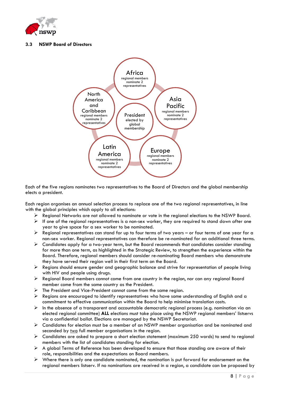

# <span id="page-8-0"></span>**3.3 NSWP Board of Directors**



Each of the five regions nominates two representatives to the Board of Directors and the global membership elects a president.

Each region organises an annual selection process to replace one of the two regional representatives, in line with the global principles which apply to all elections:

- $\triangleright$  Regional Networks are not allowed to nominate or vote in the regional elections to the NSWP Board.
- $\triangleright$  If one of the regional representatives is a non-sex worker, they are required to stand down after one year to give space for a sex worker to be nominated.
- $\triangleright$  Regional representatives can stand for up to four terms of two years or four terms of one year for a non-sex worker. Regional representatives can therefore be re-nominated for an additional three terms.
- $\triangleright$  Candidates apply for a two-year term, but the Board recommends that candidates consider standing for more than one term, as highlighted in the Strategic Review, to strengthen the experience within the Board. Therefore, regional members should consider re-nominating Board members who demonstrate they have served their region well in their first term on the Board.
- Regions should ensure gender and geographic balance and strive for representation of people living with HIV and people using drugs.
- $\triangleright$  Regional Board members cannot come from one country in the region, nor can any regional Board member come from the same country as the President.
- $\triangleright$  The President and Vice-President cannot come from the same region.
- $\triangleright$  Regions are encouraged to identify representatives who have some understanding of English and a commitment to effective communication within the Board to help minimise translation costs.
- $\triangleright$  In the absence of a transparent and accountable democratic regional process (e.g. nomination via an elected regional committee) **ALL** elections must take place using the NSWP regional members' listservs via a confidential ballot. Elections are managed by the NSWP Secretariat.
- $\triangleright$  Candidates for election must be a member of an NSWP member organisation and be nominated and seconded by two full member organisations in the region.
- $\triangleright$  Candidates are asked to prepare a short election statement (maximum 250 words) to send to regional members with the list of candidates standing for election.
- $\triangleright$  A global Terms of Reference has been developed to ensure that those standing are aware of their role, responsibilities and the expectations on Board members.
- $\triangleright$  Where there is only one candidate nominated, the nomination is put forward for endorsement on the regional members listserv. If no nominations are received in a region, a candidate can be proposed by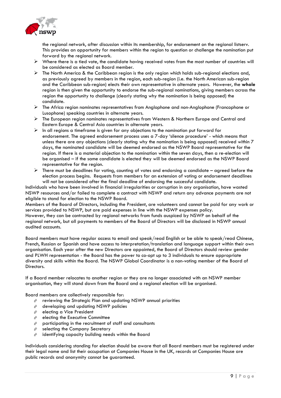

the regional network, after discussion within its membership, for endorsement on the regional listserv. This provides an opportunity for members within the region to question or challenge the nomination put forward by the regional network.

- $\triangleright$  Where there is a tied vote, the candidate having received votes from the most number of countries will be considered as elected as Board member.
- $\triangleright$  The North America & the Caribbean region is the only region which holds sub-regional elections and, as previously agreed by members in the region, each sub-region (i.e. the North American sub-region and the Caribbean sub-region) elects their own representative in alternate years. However, the **whole** region is then given the opportunity to endorse the sub-regional nominations, giving members across the region the opportunity to challenge (clearly stating why the nomination is being opposed) the candidate.
- $\triangleright$  The Africa region nominates representatives from Anglophone and non-Anglophone (Francophone or Lusophone) speaking countries in alternate years.
- $\triangleright$  The European region nominates representatives from Western & Northern Europe and Central and Eastern Europe & Central Asia countries in alternate years.
- $\triangleright$  In all regions a timeframe is given for any objections to the nomination put forward for endorsement. The agreed endorsement process uses a 7-day 'silence procedure' - which means that unless there are any objections (clearly stating why the nomination is being opposed) received within 7 days, the nominated candidate will be deemed endorsed as the NSWP Board representative for the region. If there is a material objection to the nomination within the seven days, then a re-election will be organised – if the same candidate is elected they will be deemed endorsed as the NSWP Board representative for the region.
- $\triangleright$  There must be deadlines for voting, counting of votes and endorsing a candidate agreed before the election process begins. Requests from members for an extension of voting or endorsement deadlines will not be considered after the final deadline of endorsing the successful candidate.

Individuals who have been involved in financial irregularities or corruption in any organisation, have wasted NSWP resources and/or failed to complete a contract with NSWP and return any advance payments are not eligible to stand for election to the NSWP Board.

Members of the Board of Directors, including the President, are volunteers and cannot be paid for any work or services provided to NSWP, but are paid expenses in line with the NSWP expenses policy.

However, they can be contracted by regional networks from funds auspiced by NSWP on behalf of the regional network, but all payments to members of the Board of Directors will be disclosed in NSWP annual audited accounts.

Board members must have regular access to email and speak/read English or be able to speak/read Chinese, French, Russian or Spanish and have access to interpretation/translation and language support within their own organisation. Each year after the new Directors are appointed, the Board of Directors should review gender and PLWH representation - the Board has the power to co-opt up to 3 individuals to ensure appropriate diversity and skills within the Board. The NSWP Global Coordinator is a non-voting member of the Board of Directors.

If a Board member relocates to another region or they are no longer associated with an NSWP member organisation, they will stand down from the Board and a regional election will be organised.

Board members are collectively responsible for:

- $\hat{\varphi}$  reviewing the Strategic Plan and updating NSWP annual priorities
- $\hat{\varphi}$  developing and updating NSWP policies
- $\hat{F}$  electing a Vice President
- $\hat{F}$  electing the Executive Committee
- $\hat{P}$  participating in the recruitment of staff and consultants
- $\hat{\mathcal{C}}$  selecting the Company Secretary
- $\hat{\varphi}$  identifying capacity building needs within the Board

Individuals considering standing for election should be aware that all Board members must be registered under their legal name and list their occupation at Companies House in the UK, records at Companies House are public records and anonymity cannot be guaranteed.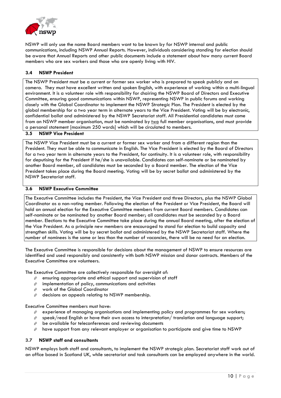

NSWP will only use the name Board members want to be known by for NSWP internal and public communications, including NSWP Annual Reports. However, individuals considering standing for election should be aware that Annual Reports and other public documents include a statement about how many current Board members who are sex workers and those who are openly living with HIV.

### <span id="page-10-0"></span>**3.4 NSWP President**

The NSWP President must be a current or former sex worker who is prepared to speak publicly and on camera. They must have excellent written and spoken English, with experience of working within a multi-lingual environment. It is a volunteer role with responsibility for chairing the NSWP Board of Directors and Executive Committee, ensuring good communications within NSWP, representing NSWP in public forums and working closely with the Global Coordinator to implement the NSWP Strategic Plan. The President is elected by the global membership for a two year term in alternate years to the Vice President. Voting will be by electronic, confidential ballot and administered by the NSWP Secretariat staff. All Presidential candidates must come from an NSWP member organisation, must be nominated by two full member organisations, and must provide a personal statement [maximum 250 words] which will be circulated to members.

### <span id="page-10-1"></span>**3.5 NSWP Vice President**

The NSWP Vice President must be a current or former sex worker and from a different region than the President. They must be able to communicate in English. The Vice President is elected by the Board of Directors for a two year term in alternate years to the President, for continuity. It is a volunteer role, with responsibility for deputising for the President if he/she is unavailable. Candidates can self-nominate or be nominated by another Board member, all candidates must be seconded by a Board member. The election of the Vice President takes place during the Board meeting. Voting will be by secret ballot and administered by the NSWP Secretariat staff.

### <span id="page-10-2"></span>**3.6 NSWP Executive Committee**

The Executive Committee includes the President, the Vice President and three Directors, plus the NSWP Global Coordinator as a non-voting member. Following the election of the President or Vice President, the Board will hold an annual election for the Executive Committee members from current Board members. Candidates can self-nominate or be nominated by another Board member; all candidates must be seconded by a Board member. Elections to the Executive Committee take place during the annual Board meeting, after the election of the Vice President. As a principle new members are encouraged to stand for election to build capacity and strengthen skills. Voting will be by secret ballot and administered by the NSWP Secretariat staff. Where the number of nominees is the same or less than the number of vacancies, there will be no need for an election.

The Executive Committee is responsible for decisions about the management of NSWP to ensure resources are identified and used responsibly and consistently with both NSWP mission and donor contracts. Members of the Executive Committee are volunteers.

The Executive Committee are collectively responsible for oversight of:

- $\hat{\varphi}$  ensuring appropriate and ethical support and supervision of staff
- $\hat{\varphi}$  implementation of policy, communications and activities
- work of the Global Coordinator
- $\hat{\varphi}$  decisions on appeals relating to NSWP membership.

Executive Committee members must have:

- $\phi$  experience of managing organisations and implementing policy and programmes for sex workers;
- $\hat{\varphi}$  speak/read English or have their own access to interpretation/ translation and language support;
- $\hat{P}$  be available for teleconferences and reviewing documents
- $\phi$  have support from any relevant employer or organisation to participate and give time to NSWP

# <span id="page-10-3"></span>**3.7 NSWP staff and consultants**

NSWP employs both staff and consultants, to implement the NSWP strategic plan. Secretariat staff work out of an office based in Scotland UK, while secretariat and task consultants can be employed anywhere in the world.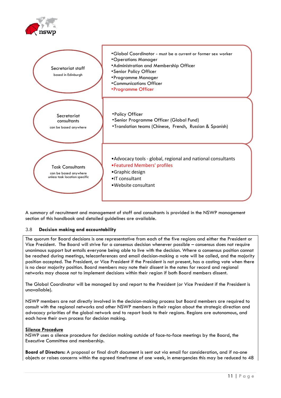

A summary of recruitment and management of staff and consultants is provided in the NSWP management section of this handbook and detailed guidelines are available.

# <span id="page-11-0"></span>3.8 **Decision making and accountability**

The quorum for Board decisions is one representative from each of the five regions and either the President or Vice President. The Board will strive for a consensus decision whenever possible – consensus does not require unanimous support but entails everyone being able to live with the decision. Where a consensus position cannot be reached during meetings, teleconferences and email decision-making a vote will be called, and the majority position accepted. The President, or Vice President if the President is not present, has a casting vote when there is no clear majority position. Board members may note their dissent in the notes for record and regional networks may choose not to implement decisions within their region if both Board members dissent.

The Global Coordinator will be managed by and report to the President (or Vice President if the President is unavailable).

NSWP members are not directly involved in the decision-making process but Board members are required to consult with the regional networks and other NSWP members in their region about the strategic direction and advocacy priorities of the global network and to report back to their regions. Regions are autonomous, and each have their own process for decision making.

### **Silence Procedure**

NSWP uses a silence procedure for decision making outside of face-to-face meetings by the Board, the Executive Committee and membership.

**Board of Directors:** A proposal or final draft document is sent out via email for consideration, and if no-one objects or raises concerns within the agreed timeframe of one week, in emergencies this may be reduced to 48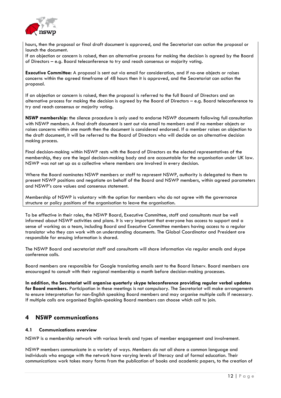

hours, then the proposal or final draft document is approved, and the Secretariat can action the proposal or launch the document.

If an objection or concern is raised, then an alternative process for making the decision is agreed by the Board of Directors – e.g. Board teleconference to try and reach consensus or majority voting.

**Executive Committee:** A proposal is sent out via email for consideration, and if no-one objects or raises concerns within the agreed timeframe of 48 hours then it is approved, and the Secretariat can action the proposal.

If an objection or concern is raised, then the proposal is referred to the full Board of Directors and an alternative process for making the decision is agreed by the Board of Directors – e.g. Board teleconference to try and reach consensus or majority voting.

**NSWP membership:** the silence procedure is only used to endorse NSWP documents following full consultation with NSWP members. A final draft document is sent out via email to members and if no member objects or raises concerns within one month then the document is considered endorsed. If a member raises an objection to the draft document, it will be referred to the Board of Directors who will decide on an alternative decision making process.

Final decision-making within NSWP rests with the Board of Directors as the elected representatives of the membership, they are the legal decision-making body and are accountable for the organisation under UK law. NSWP was not set up as a collective where members are involved in every decision.

Where the Board nominates NSWP members or staff to represent NSWP, authority is delegated to them to present NSWP positions and negotiate on behalf of the Board and NSWP members, within agreed parameters and NSWP's core values and consensus statement.

Membership of NSWP is voluntary with the option for members who do not agree with the governance structure or policy positions of the organisation to leave the organisation.

To be effective in their roles, the NSWP Board, Executive Committee, staff and consultants must be well informed about NSWP activities and plans. It is very important that everyone has access to support and a sense of working as a team, including Board and Executive Committee members having access to a regular translator who they can work with on understanding documents. The Global Coordinator and President are responsible for ensuing information is shared.

The NSWP Board and secretariat staff and consultants will share information via regular emails and skype conference calls.

Board members are responsible for Google translating emails sent to the Board listserv. Board members are encouraged to consult with their regional membership a month before decision-making processes.

**In addition, the Secretariat will organise quarterly skype teleconference providing regular verbal updates for Board members.** Participation in these meetings is not compulsory. The Secretariat will make arrangements to ensure interpretation for non-English speaking Board members and may organise multiple calls if necessary. If multiple calls are organised English-speaking Board members can choose which call to join.

# <span id="page-12-0"></span>**4 NSWP communications**

# <span id="page-12-1"></span>**4.1 Communications overview**

NSWP is a membership network with various levels and types of member engagement and involvement.

NSWP members communicate in a variety of ways. Members do not all share a common language and individuals who engage with the network have varying levels of literacy and of formal education. Their communications work takes many forms from the publication of books and academic papers, to the creation of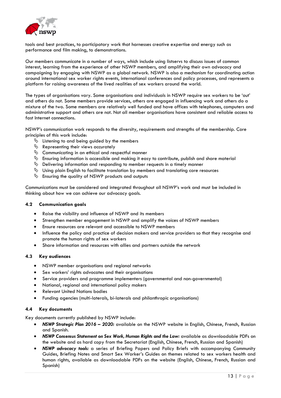

tools and best practices, to participatory work that harnesses creative expertise and energy such as performance and film making, to demonstrations.

Our members communicate in a number of ways, which include using listservs to discuss issues of common interest, learning from the experience of other NSWP members, and amplifying their own advocacy and campaigning by engaging with NSWP as a global network. NSWP is also a mechanism for coordinating action around international sex worker rights events, international conferences and policy processes, and represents a platform for raising awareness of the lived realities of sex workers around the world.

The types of organisations vary. Some organisations and individuals in NSWP require sex workers to be 'out' and others do not. Some members provide services, others are engaged in influencing work and others do a mixture of the two. Some members are relatively well funded and have offices with telephones, computers and administrative support and others are not. Not all member organisations have consistent and reliable access to fast Internet connections.

NSWP's communication work responds to the diversity, requirements and strengths of the membership. Core principles of this work include:

- $\%$  Listening to and being guided by the members
- $\psi$  Representing their views accurately
- $\psi$  Communicating in an ethical and respectful manner
- $\uplus$  Ensuring information is accessible and making it easy to contribute, publish and share material
- $\uparrow$  Delivering information and responding to member requests in a timely manner
- $\%$  Using plain English to facilitate translation by members and translating core resources
- $\psi$  Ensuring the quality of NSWP products and outputs

Communications must be considered and integrated throughout all NSWP's work and must be included in thinking about how we can achieve our advocacy goals.

### <span id="page-13-0"></span>**4.2 Communication goals**

- Raise the visibility and influence of NSWP and its members
- Strengthen member engagement in NSWP and amplify the voices of NSWP members
- Ensure resources are relevant and accessible to NSWP members
- Influence the policy and practice of decision makers and service providers so that they recognise and promote the human rights of sex workers
- Share information and resources with allies and partners outside the network

### <span id="page-13-1"></span>**4.3 Key audiences**

- NSWP member organisations and regional networks
- Sex workers' rights advocates and their organisations
- Service providers and programme implementers (governmental and non-governmental)
- National, regional and international policy makers
- Relevant United Nations bodies
- Funding agencies (multi-laterals, bi-laterals and philanthropic organisations)

# <span id="page-13-2"></span>**4.4 Key documents**

Key documents currently published by NSWP include:

- *NSWP Strategic Plan 2016 – 2020:* available on the NSWP website in English, Chinese, French, Russian and Spanish.
- *NSWP Consensus Statement on Sex Work, Human Rights and the Law:* available as downloadable PDFs on the website and as hard copy from the Secretariat (English, Chinese, French, Russian and Spanish)
- *NSWP advocacy tools:* a series of Briefing Papers and Policy Briefs with accompanying Community Guides, Briefing Notes and Smart Sex Worker's Guides on themes related to sex workers health and human rights, available as downloadable PDFs on the website (English, Chinese, French, Russian and Spanish)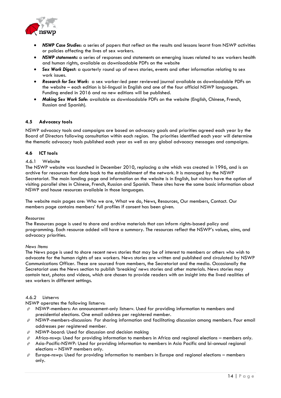

- *NSWP Case Studies*: a series of papers that reflect on the results and lessons learnt from NSWP activities or policies affecting the lives of sex workers.
- *NSWP statements:* a series of responses and statements on emerging issues related to sex workers health and human rights, available as downloadable PDFs on the website
- *Sex Work Digest***:** a quarterly round up of news stories, events and other information relating to sex work issues.
- *Research for Sex Work***:** a sex worker-led peer reviewed journal available as downloadable PDFs on the website – each edition is bi-lingual in English and one of the four official NSWP languages. Funding ended in 2016 and no new editions will be published.
- *Making Sex Work Safe*: available as downloadable PDFs on the website (English, Chinese, French, Russian and Spanish).

# <span id="page-14-0"></span>**4.5 Advocacy tools**

NSWP advocacy tools and campaigns are based on advocacy goals and priorities agreed each year by the Board of Directors following consultation within each region. The priorities identified each year will determine the thematic advocacy tools published each year as well as any global advocacy messages and campaigns.

# <span id="page-14-1"></span>**4.6 ICT tools**

# 4.6.1 Website

The NSWP website was launched in December 2010, replacing a site which was created in 1996, and is an archive for resources that date back to the establishment of the network. It is managed by the NSWP Secretariat. The main landing page and information on the website is in English, but visitors have the option of visiting parallel sites in Chinese, French, Russian and Spanish. These sites have the same basic information about NSWP and house resources available in those languages.

The website main pages are: Who we are, What we do, News, Resources, Our members, Contact. Our members page contains members' full profiles if consent has been given.

### *Resources*

The Resources page is used to share and archive materials that can inform rights-based policy and programming. Each resource added will have a summary. The resources reflect the NSWP's values, aims, and advocacy priorities.

### *News Items*

The News page is used to share recent news stories that may be of interest to members or others who wish to advocate for the human rights of sex workers. News stories are written and published and circulated by NSWP Communications Officer. These are sourced from members, the Secretariat and the media. Occasionally the Secretariat uses the News section to publish 'breaking' news stories and other materials. News stories may contain text, photos and videos, which are chosen to provide readers with an insight into the lived realities of sex workers in different settings.

### 4.6.2 Listservs

NSWP operates the following listservs:

- $\hat{\varphi}$  NSWP-members: An announcement-only listserv. Used for providing information to members and presidential elections. One email address per registered member.
- $\phi$  NSWP-members-discussion: For sharing information and facilitating discussion among members. Four email addresses per registered member.
- $\hat{\varphi}$  NSWP-board: Used for discussion and decision making
- $\mathcal P$  Africa-nswp: Used for providing information to members in Africa and regional elections members only.
- $\hat{\varphi}$  Asia-Pacific-NSWP: Used for providing information to members in Asia Pacific and bi-annual regional elections – NSWP members only.
- $\mathcal{P}$  Europe-nswp: Used for providing information to members in Europe and regional elections members only.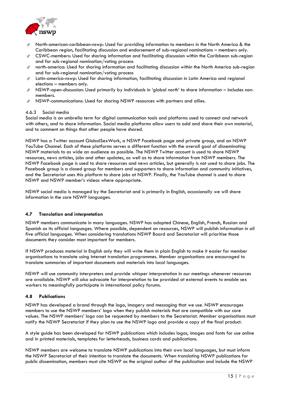

- $\hat{\varphi}$  North-american-caribbean-nswp: Used for providing information to members in the North America & the Caribbean region, facilitating discussion and endorsement of sub-regional nominations – members only.
- $\hat{\varphi}$  CSWC-members: Used for sharing information and facilitating discussion within the Caribbean sub-region and for sub-regional nomination/voting process
- $\hat{\varphi}$  north-america: Used for sharing information and facilitating discussion within the North America sub-region and for sub-regional nomination/voting process
- Latin-america-nswp: Used for sharing information, facilitating discussion in Latin America and regional elections – members only.
- $\hat{\varphi}$  NSWP-open-discussion: Used primarily by individuals in 'global north' to share information includes nonmembers.
- $\hat{\mathcal{C}}$  NSWP-communications: Used for sharing NSWP resources with partners and allies.

### 4.6.3 Social media

Social media is an umbrella term for digital communication tools and platforms used to connect and network with others, and to share information. Social media platforms allow users to add and share their own material, and to comment on things that other people have shared.

NSWP has a Twitter account GlobalSexWork, a NSWP Facebook page and private group, and an NSWP YouTube Channel. Each of these platforms serves a different function with the overall goal of disseminating NSWP materials to as wide an audience as possible. The NSWP Twitter account is used to share NSWP resources, news articles, jobs and other updates, as well as to share information from NSWP members. The NSWP Facebook page is used to share resources and news articles, but generally is not used to share jobs. The Facebook group is a closed group for members and supporters to share information and community initiatives, and the Secretariat uses this platform to share jobs at NSWP. Finally, the YouTube channel is used to share NSWP and NSWP member's videos where appropriate.

NSWP social media is managed by the Secretariat and is primarily in English, occasionally we will share information in the core NSWP languages.

# <span id="page-15-0"></span>**4.7 Translation and interpretation**

NSWP members communicate in many languages. NSWP has adopted Chinese, English, French, Russian and Spanish as its official languages. Where possible, dependent on resources, NSWP will publish information in all five official languages. When considering translations NSWP Board and Secretariat will prioritise those documents they consider most important for members.

If NSWP produces material in English only they will write them in plain English to make it easier for member organisations to translate using Internet translation programmes. Member organisations are encouraged to translate summaries of important documents and materials into local languages.

NSWP will use community interpreters and provide whisper interpretation in our meetings whenever resources are available. NSWP will also advocate for interpretation to be provided at external events to enable sex workers to meaningfully participate in international policy forums.

# <span id="page-15-1"></span>**4.8 Publications**

NSWP has developed a brand through the logo, imagery and messaging that we use. NSWP encourages members to use the NSWP members' logo when they publish materials that are compatible with our core values. The NSWP members' logo can be requested by members to the Secretariat. Member organisations must notify the NSWP Secretariat if they plan to use the NSWP logo and provide a copy of the final product.

A style guide has been developed for NSWP publications which includes logos, images and fonts for use online and in printed materials, templates for letterheads, business cards and publications.

NSWP members are welcome to translate NSWP publications into their own local languages, but must inform the NSWP Secretariat of their intention to translate the documents. When translating NSWP publications for public dissemination, members must cite NSWP as the original author of the publication and include the NSWP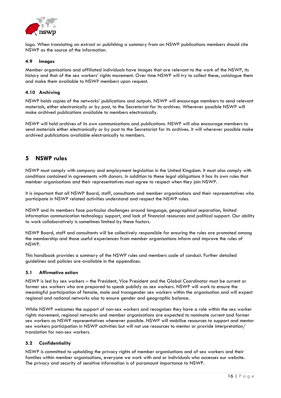

logo. When translating an extract or publishing a summary from an NSWP publications members should cite NSWP as the source of the information.

### <span id="page-16-0"></span>**4.9 Images**

Member organisations and affiliated individuals have images that are relevant to the work of the NSWP, its history and that of the sex workers' rights movement. Over time NSWP will try to collect these, catalogue them and make them available to NSWP members upon request.

### <span id="page-16-1"></span>**4.10 Archiving**

NSWP holds copies of the networks' publications and outputs. NSWP will encourage members to send relevant materials, either electronically or by post, to the Secretariat for its archives. Wherever possible NSWP will make archived publications available to members electronically.

NSWP will hold archives of its own communications and publications. NSWP will also encourage members to send materials either electronically or by post to the Secretariat for its archives. It will wherever possible make archived publications available electronically to members.

# <span id="page-16-2"></span>**5 NSWP rules**

NSWP must comply with company and employment legislation in the United Kingdom. It must also comply with conditions contained in agreements with donors. In addition to these legal obligations it has its own rules that member organisations and their representatives must agree to respect when they join NSWP.

It is important that all NSWP Board, staff, consultants and member organisations and their representatives who participate in NSWP related activities understand and respect the NSWP rules.

NSWP and its members face particular challenges around language, geographical separation, limited information communication technology support, and lack of financial resources and political support. Our ability to work collaboratively is sometimes limited by these factors.

NSWP Board, staff and consultants will be collectively responsible for ensuring the rules are promoted among the membership and those useful experiences from member organisations inform and improve the rules of NSWP.

This handbook provides a summary of the NSWP rules and members code of conduct. Further detailed guidelines and policies are available in the appendices.

# <span id="page-16-3"></span>**5.1 Affirmative action**

NSWP is led by sex workers – the President, Vice President and the Global Coordinator must be current or former sex workers who are prepared to speak publicly as sex workers. NSWP will work to ensure the meaningful participation of female, male and transgender sex workers within the organisation and will expect regional and national networks also to ensure gender and geographic balance.

While NSWP welcomes the support of non-sex workers and recognises they have a role within the sex worker rights movement, regional networks and member organisations are expected to nominate current and former sex workers as NSWP representatives whenever possible. NSWP will mobilise resources to support and mentor sex workers participation in NSWP activities but will not use resources to mentor or provide interpretation/ translation for non-sex workers.

# <span id="page-16-4"></span>**5.2 Confidentiality**

NSWP is committed to upholding the privacy rights of member organisations and of sex workers and their families within member organisations, everyone we work with and or individuals who accesses our website. The privacy and security of sensitive information is of paramount importance to NSWP.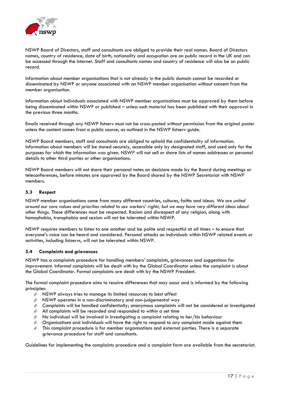

NSWP Board of Directors, staff and consultants are obliged to provide their real names. Board of Directors names, country of residence, date of birth, nationality and occupation are on public record in the UK and can be accessed through the Internet. Staff and consultants names and country of residence will also be on public record.

Information about member organisations that is not already in the public domain cannot be recorded or disseminated by NSWP or anyone associated with an NSWP member organisation without consent from the member organisation.

Information about individuals associated with NSWP member organisations must be approved by them before being disseminated within NSWP or published – unless such material has been published with their approval in the previous three months.

Emails received through any NSWP listserv must not be cross-posted without permission from the original poster unless the content comes from a public source, as outlined in the NSWP listserv guide.

NSWP Board members, staff and consultants are obliged to uphold the confidentiality of information. Information about members will be stored securely, accessible only by designated staff, and used only for the purposes for which the information was given. NSWP will not sell or share lists of names addresses or personal details to other third parties or other organisations.

NSWP Board members will not share their personal notes on decisions made by the Board during meetings or teleconferences, before minutes are approved by the Board shared by the NSWP Secretariat with NSWP members.

# <span id="page-17-0"></span>**5.3 Respect**

NSWP member organisations come from many different countries, cultures, faiths and ideas. *We are united around our core values and priorities related to sex workers' rights, but we may have very different ideas about other things.* These differences must be respected. Racism and disrespect of any religion, along with homophobia, transphobia and sexism will not be tolerated within NSWP.

NSWP requires members to listen to one another and be polite and respectful at all times – to ensure that everyone's voice can be heard and considered. Personal attacks on individuals within NSWP related events or activities, including listservs, will not be tolerated within NSWP.

### <span id="page-17-1"></span>**5.4 Complaints and grievances**

NSWP has a complaints procedure for handling members' complaints, grievances and suggestions for improvement. Informal complaints will be dealt with by the Global Coordinator unless the complaint is about the Global Coordinator. Formal complaints are dealt with by the NSWP President.

The formal complaint procedure aims to resolve differences that may occur and is informed by the following principles:

- $\hat{\varphi}$  NSWP always tries to manage its limited resources to best affect
- $\hat{\varphi}$  NSWP operates in a non-discriminatory and non-judgemental way
- $\mathcal{P}$  Complaints will be handled confidentially; anonymous complaints will not be considered or investigated
- $\hat{\varphi}$  All complaints will be recorded and responded to within a set time
- $\hat{\varphi}$  No individual will be involved in investigating a complaint relating to her/his behaviour
- $\hat{\varphi}$  Organisations and individuals will have the right to respond to any complaint made against them
- $\hat{P}$  This complaint procedure is for member organisations and external parties. There is a separate grievance procedure for staff and consultants.

Guidelines for implementing the complaints procedure and a complaint form are available from the secretariat.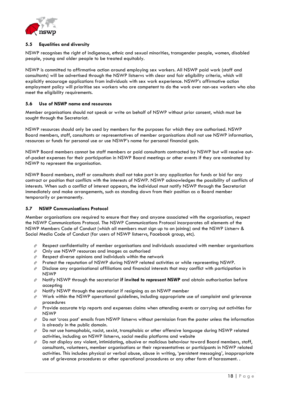

# <span id="page-18-0"></span>**5.5 Equalities and diversity**

NSWP recognises the right of indigenous, ethnic and sexual minorities, transgender people, women, disabled people, young and older people to be treated equitably.

NSWP is committed to affirmative action around employing sex workers. All NSWP paid work (staff and consultants) will be advertised through the NSWP listservs with clear and fair eligibility criteria, which will explicitly encourage applications from individuals with sex work experience. NSWP's affirmative action employment policy will prioritise sex workers who are competent to do the work over non-sex workers who also meet the eligibility requirements.

# <span id="page-18-1"></span>**5.6 Use of NSWP name and resources**

Member organisations should not speak or write on behalf of NSWP without prior consent, which must be sought through the Secretariat.

NSWP resources should only be used by members for the purposes for which they are authorised. NSWP Board members, staff, consultants or representatives of member organisations shall not use NSWP information, resources or funds for personal use or use NSWP's name for personal financial gain.

NSWP Board members cannot be staff members or paid consultants contracted by NSWP but will receive outof-pocket expenses for their participation in NSWP Board meetings or other events if they are nominated by NSWP to represent the organisation.

NSWP Board members, staff or consultants shall not take part in any application for funds or bid for any contract or position that conflicts with the interests of NSWP. NSWP acknowledges the possibility of conflicts of interests. When such a conflict of interest appears, the individual must notify NSWP through the Secretariat immediately and make arrangements, such as standing down from their position as a Board member temporarily or permanently.

# <span id="page-18-2"></span>**5.7 NSWP Communications Protocol**

Member organisations are required to ensure that they and anyone associated with the organisation, respect the NSWP Communications Protocol. The NSWP Communications Protocol incorporates all elements of the NSWP Members Code of Conduct (which all members must sign up to on joining) and the NSWP Listserv & Social Media Code of Conduct (for users of NSWP listservs, Facebook group, etc).

- $\hat{\varphi}$  Respect confidentiality of member organisations and individuals associated with member organisations
- $\hat{\varphi}$  Only use NSWP resources and images as authorised
- $\hat{P}$  Respect diverse opinions and individuals within the network
- $\hat{\varphi}$  Protect the reputation of NSWP during NSWP related activities or while representing NSWP.
- $\mathcal P$  Disclose any organisational affiliations and financial interests that may conflict with participation in NSWP
- Notify NSWP through the secretariat **if invited to represent NSWP** and obtain authorisation before accepting
- $\hat{\varphi}$  Notify NSWP through the secretariat if resigning as an NSWP member
- $\hat{\varphi}$  Work within the NSWP operational guidelines, including appropriate use of complaint and grievance procedures
- $\hat{\varphi}$  Provide accurate trip reports and expenses claims when attending events or carrying out activities for NSWP
- $\hat{\varphi}$  Do not 'cross post' emails from NSWP listservs without permission from the poster unless the information is already in the public domain.
- $\hat{\varphi}$  Do not use homophobic, racist, sexist, transphobic or other offensive language during NSWP related activities, including on NSWP listservs, social media platforms and website
- $\hat{\varphi}$  Do not display any violent, intimidating, abusive or malicious behaviour toward Board members, staff, consultants, volunteers, member organisations or their representatives or participants in NSWP related activities. This includes physical or verbal abuse, abuse in writing, 'persistent messaging', inappropriate use of grievance procedures or other operational procedures or any other form of harassment. .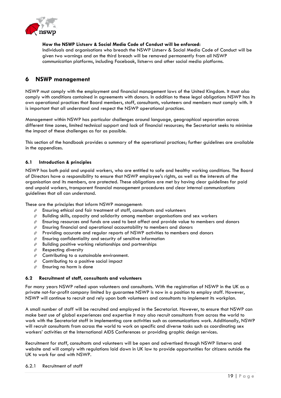

**How the NSWP Listserv & Social Media Code of Conduct will be enforced:**

Individuals and organisations who breach the NSWP Listserv & Social Media Code of Conduct will be given two warnings and on the third breach will be removed permanently from all NSWP communication platforms, including Facebook, listservs and other social media platforms.

# <span id="page-19-0"></span>**6 NSWP management**

NSWP must comply with the employment and financial management laws of the United Kingdom. It must also comply with conditions contained in agreements with donors. In addition to these legal obligations NSWP has its own operational practices that Board members, staff, consultants, volunteers and members must comply with. It is important that all understand and respect the NSWP operational practices.

Management within NSWP has particular challenges around language, geographical separation across different time zones, limited technical support and lack of financial resources; the Secretariat seeks to minimise the impact of these challenges as far as possible.

This section of the handbook provides a summary of the operational practices; further guidelines are available in the appendices.

# <span id="page-19-1"></span>**6.1 Introduction & principles**

NSWP has both paid and unpaid workers, who are entitled to safe and healthy working conditions. The Board of Directors have a responsibility to ensure that NSWP employee's rights, as well as the interests of the organisation and its members, are protected. These obligations are met by having clear guidelines for paid and unpaid workers, transparent financial management procedures and clear internal communications guidelines that all can understand.

These are the principles that inform NSWP management:

- $\hat{\varphi}$  Ensuring ethical and fair treatment of staff, consultants and volunteers
- $\hat{\varphi}$  Building skills, capacity and solidarity among member organisations and sex workers
- $\hat{\varphi}$  Ensuring resources and funds are used to best affect and provide value to members and donors
- $\hat{\varphi}$  Ensuring financial and operational accountability to members and donors
- $\hat{\varphi}$  Providing accurate and regular reports of NSWP activities to members and donors
- $\hat{\varphi}$  Ensuring confidentiality and security of sensitive information
- $\hat{\varphi}$  Building positive working relationships and partnerships
- $\hat{F}$  Respecting diversity
- $\hat{\mathcal{C}}$  Contributing to a sustainable environment.
- $\hat{\mathcal{C}}$  Contributing to a positive social impact
- $\hat{\varphi}$  Ensuring no harm is done

# <span id="page-19-2"></span>**6.2 Recruitment of staff, consultants and volunteers**

For many years NSWP relied upon volunteers and consultants. With the registration of NSWP in the UK as a private not-for-profit company limited by guarantee NSWP is now in a position to employ staff. However, NSWP will continue to recruit and rely upon both volunteers and consultants to implement its workplan.

A small number of staff will be recruited and employed in the Secretariat. However, to ensure that NSWP can make best use of global experiences and expertise it may also recruit consultants from across the world to work with the Secretariat staff in implementing core activities such as communications work. Additionally, NSWP will recruit consultants from across the world to work on specific and diverse tasks such as coordinating sex workers' activities at the International AIDS Conferences or providing graphic design services.

Recruitment for staff, consultants and volunteers will be open and advertised through NSWP listservs and website and will comply with regulations laid down in UK law to provide opportunities for citizens outside the UK to work for and with NSWP.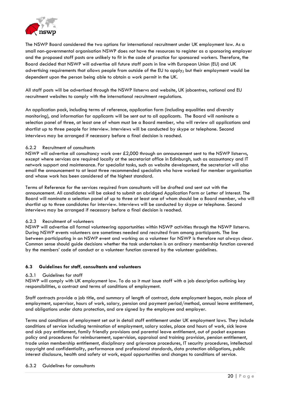

The NSWP Board considered the two options for international recruitment under UK employment law. As a small non-governmental organisation NSWP does not have the resources to register as a sponsoring employer and the proposed staff posts are unlikely to fit in the code of practice for sponsored workers. Therefore, the Board decided that NSWP will advertise all future staff posts in line with European Union (EU) and UK advertising requirements that allows people from outside of the EU to apply; but their employment would be dependent upon the person being able to obtain a work permit in the UK.

All staff posts will be advertised through the NSWP listservs and website, UK jobcentres, national and EU recruitment websites to comply with the international recruitment regulations.

An application pack, including terms of reference, application form (including equalities and diversity monitoring), and information for applicants will be sent out to all applicants. The Board will nominate a selection panel of three, at least one of whom must be a Board member, who will review all applications and shortlist up to three people for interview. Interviews will be conducted by skype or telephone. Second interviews may be arranged if necessary before a final decision is reached.

# 6.2.2 Recruitment of consultants

NSWP will advertise all consultancy work over £2,000 through an announcement sent to the NSWP listservs, except where services are required locally at the secretariat office in Edinburgh, such as accountancy and IT network support and maintenance. For specialist tasks, such as website development, the secretariat will also email the announcement to at least three recommended specialists who have worked for member organisation and whose work has been considered of the highest standard.

Terms of Reference for the services required from consultants will be drafted and sent out with the announcement. All candidates will be asked to submit an abridged Application Form or Letter of Interest. The Board will nominate a selection panel of up to three at least one of whom should be a Board member, who will shortlist up to three candidates for interview. Interviews will be conducted by skype or telephone. Second interviews may be arranged if necessary before a final decision is reached.

### 6.2.3 Recruitment of volunteers

NSWP will advertise all formal volunteering opportunities within NSWP activities through the NSWP listservs. During NSWP events volunteers are sometimes needed and recruited from among participants. The line between participating in an NSWP event and working as a volunteer for NSWP is therefore not always clear. Common sense should guide decisions whether the task undertaken is an ordinary membership function covered by the members' code of conduct or a volunteer function covered by the volunteer guidelines.

# <span id="page-20-0"></span>**6.3 Guidelines for staff, consultants and volunteers**

# 6.3.1 Guidelines for staff

NSWP will comply with UK employment law. To do so it must issue staff with a job description outlining key responsibilities, a contract and terms of conditions of employment.

Staff contracts provide a job title, and summary of length of contract, date employment began, main place of employment, supervisor, hours of work, salary, pension and payment period/method, annual leave entitlement, and obligations under data protection, and are signed by the employee and employer.

Terms and conditions of employment set out in detail staff entitlement under UK employment laws. They include conditions of service including termination of employment, salary scales, place and hours of work, sick leave and sick pay entitlement, family friendly provisions and parental leave entitlement, out of pocket expenses policy and procedures for reimbursement, supervision, appraisal and training provision, pension entitlement, trade union membership entitlement, disciplinary and grievance procedures, IT security procedures, intellectual copyright and confidentiality, performance and professional standards, data protection obligations, public interest disclosure, health and safety at work, equal opportunities and changes to conditions of service.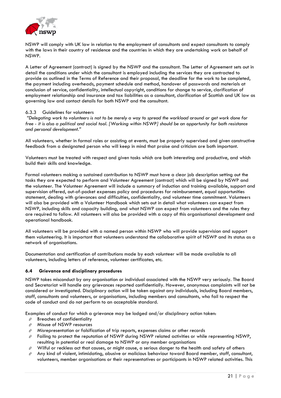

NSWP will comply with UK law in relation to the employment of consultants and expect consultants to comply with the laws in their country of residence and the countries in which they are undertaking work on behalf of NSWP.

A Letter of Agreement (contract) is signed by the NSWP and the consultant. The Letter of Agreement sets out in detail the conditions under which the consultant is employed including the services they are contracted to provide as outlined in the Terms of Reference and their proposal, the deadline for the work to be completed, the payment including overheads, payment schedule and method, handover of passwords and materials at conclusion of service, confidentiality, intellectual copyright, conditions for change to service, clarification of employment relationship and insurance and tax liabilities as a consultant, clarification of Scottish and UK law as governing law and contact details for both NSWP and the consultant.

### 6.3.3 Guidelines for volunteers

*"Delegating work to volunteers is not to be merely a way to spread the workload around or get work done for free - it is also a political and social tool. [Working within NSWP] should be an opportunity for both resistance and personal development."* 

All volunteers, whether in formal roles or assisting at events, must be properly supervised and given constructive feedback from a designated person who will keep in mind that praise and criticism are both important.

Volunteers must be treated with respect and given tasks which are both interesting and productive, and which build their skills and knowledge.

Formal volunteers making a sustained contribution to NSWP must have a clear job description setting out the tasks they are expected to perform and Volunteer Agreement (contract) which will be signed by NSWP and the volunteer. The Volunteer Agreement will include a summary of induction and training available, support and supervision offered, out-of-pocket expenses policy and procedures for reimbursement, equal opportunities statement, dealing with grievances and difficulties, confidentiality, and volunteer time commitment. Volunteers will also be provided with a Volunteer Handbook which sets out in detail what volunteers can expect from NSWP, including skills and capacity building, and what NSWP can expect from volunteers and the rules they are required to follow. All volunteers will also be provided with a copy of this organisational development and operational handbook.

All volunteers will be provided with a named person within NSWP who will provide supervision and support them volunteering. It is important that volunteers understand the collaborative spirit of NSWP and its status as a network of organisations.

Documentation and certification of contributions made by each volunteer will be made available to all volunteers, including letters of reference, volunteer certificates, etc.

### <span id="page-21-0"></span>**6.4 Grievance and disciplinary procedures**

NSWP takes misconduct by any organisation or individual associated with the NSWP very seriously. The Board and Secretariat will handle any grievances reported confidentially. However, anonymous complaints will not be considered or investigated. Disciplinary action will be taken against any individuals, including Board members, staff, consultants and volunteers, or organisations, including members and consultants, who fail to respect the code of conduct and do not perform to an acceptable standard.

Examples of conduct for which a grievance may be lodged and/or disciplinary action taken:

- $\hat{\varphi}$  Breaches of confidentiality
- $\hat{\varphi}$  Misuse of NSWP resources
- $\hat{\varphi}$  Misrepresentation or falsification of trip reports, expenses claims or other records
- $\hat{\varphi}$  Failing to protect the reputation of NSWP during NSWP related activities or while representing NSWP, resulting in potential or real damage to NSWP or any member organisations
- $\mathcal P$  Wilful or reckless act that causes, or might cause, a serious danger to the health and safety of others
- $\hat{\varphi}$  Any kind of violent, intimidating, abusive or malicious behaviour toward Board member, staff, consultant, volunteers, member organisations or their representatives or participants in NSWP related activities. This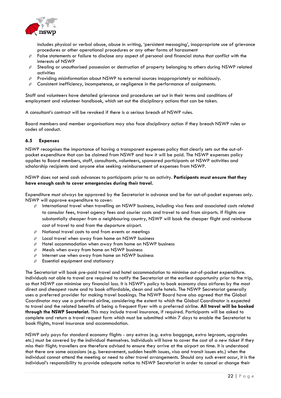

includes physical or verbal abuse, abuse in writing, 'persistent messaging', inappropriate use of grievance procedures or other operational procedures or any other forms of harassment

- $\hat{\varphi}$  False statements or failure to disclose any aspect of personal and financial status that conflict with the interests of NSWP
- $\hat{\varphi}$  Stealing or unauthorised possession or destruction of property belonging to others during NSWP related activities
- $\hat{\varphi}$  Providing misinformation about NSWP to external sources inappropriately or maliciously.
- $\hat{\varphi}$  Consistent inefficiency, incompetence, or negligence in the performance of assignments.

Staff and volunteers have detailed grievance and procedures set out in their terms and conditions of employment and volunteer handbook, which set out the disciplinary actions that can be taken.

A consultant's contract will be revoked if there is a serious breach of NSWP rules.

Board members and member organisations may also face disciplinary action if they breach NSWP rules or codes of conduct.

# <span id="page-22-0"></span>**6.5 Expenses**

NSWP recognises the importance of having a transparent expenses policy that clearly sets out the out-ofpocket expenditure that can be claimed from NSWP and how it will be paid. The NSWP expenses policy applies to Board members, staff, consultants, volunteers, sponsored participants at NSWP activities and scholarship recipients and anyone else seeking reimbursement of expenses from NSWP.

NSWP does not send cash advances to participants prior to an activity. **Participants must ensure that they have enough cash to cover emergencies during their travel.**

Expenditure must always be approved by the Secretariat in advance and be for out-of-pocket expenses only. NSWP will approve expenditure to cover:

- $\hat{\varphi}$  International travel when travelling on NSWP business, including visa fees and associated costs related to consular fees, travel agency fees and courier costs and travel to and from airports. If flights are substantially cheaper from a neighbouring country, NSWP will book the cheaper flight and reimburse cost of travel to and from the departure airport.
- $\hat{\varphi}$  National travel costs to and from events or meetings
- $\hat{\varphi}$  Local travel when away from home on NSWP business
- $\hat{\varphi}$  Hotel accommodation when away from home on NSWP business
- $\hat{\varphi}$  Meals when away from home on NSWP business
- $\hat{\varphi}$  Internet use when away from home on NSWP business
- $\hat{\mathcal{C}}$  Essential equipment and stationary

The Secretariat will book pre-paid travel and hotel accommodation to minimise out-of-pocket expenditure. Individuals not able to travel are required to notify the Secretariat at the earliest opportunity prior to the trip, so that NSWP can minimise any financial loss. It is NSWP's policy to book economy class airfares by the most direct and cheapest route and to book affordable, clean and safe hotels. The NSWP Secretariat generally uses a preferred provider for making travel bookings. The NSWP Board have also agreed that the Global Coordinator may use a preferred airline, considering the extent to which the Global Coordinator is expected to travel and the related benefits of being a frequent flyer with a preferred airline. **All travel will be booked through the NSWP Secretariat.** This may include travel insurance, if required. Participants will be asked to complete and return a travel request form which must be submitted within 7 days to enable the Secretariat to book flights, travel insurance and accommodation.

NSWP only pays for standard economy flights - any extras (e.g. extra baggage, extra legroom, upgrades etc.) must be covered by the individual themselves. Individuals will have to cover the cost of a new ticket if they miss their flight; travellers are therefore advised to ensure they arrive at the airport on time. It is understood that there are some occasions (e.g. bereavement, sudden health issues, visa and transit issues etc.) when the individual cannot attend the meeting or need to alter travel arrangements. Should any such event occur, it is the individual's responsibility to provide adequate notice to NSWP Secretariat in order to cancel or change their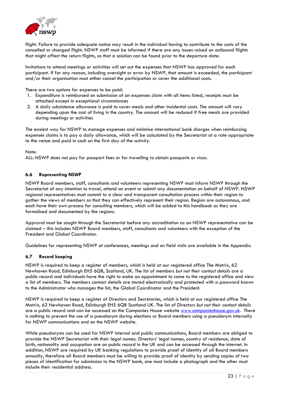

flight. Failure to provide adequate notice may result in the individual having to contribute to the costs of the cancelled or changed flight. NSWP staff must be informed if there are any issues raised on outbound flights that might affect the return flights, so that a solution can be found prior to the departure date.

Invitations to attend meetings or activities will set out the expenses that NSWP has approved for each participant. If for any reason, including oversight or error by NSWP, that amount is exceeded, the participant and/or their organisation must either cancel the participation or cover the additional costs.

There are two options for expenses to be paid:

- 1. Expenditure is reimbursed on submission of an expenses claim with all items listed, receipts must be attached except in exceptional circumstances
- 2. A daily subsistence allowance is paid to cover meals and other incidental costs. The amount will vary depending upon the cost of living in the country. The amount will be reduced if free meals are provided during meetings or activities

The easiest way for NSWP to manage expenses and minimise international bank charges when reimbursing expenses claims is to pay a daily allowance, which will be calculated by the Secretariat at a rate appropriate to the venue and paid in cash on the first day of the activity.

### Note:

ALL: NSWP does not pay for passport fees or for travelling to obtain passports or visas.

# <span id="page-23-0"></span>**6.6 Representing NSWP**

NSWP Board members, staff, consultants and volunteers representing NSWP must inform NSWP through the Secretariat of any intention to travel, attend an event or submit any documentation on behalf of NSWP. NSWP regional representatives must commit to a clear and transparent consultation process within their region to gather the views of members so that they can effectively represent their region. Region are autonomous, and each have their own process for consulting members, which will be added to this handbook as they are formalised and documented by the regions.

Approval must be sought through the Secretariat before any accreditation as an NSWP representative can be claimed – this includes NSWP Board members, staff, consultants and volunteers with the exception of the President and Global Coordinator.

Guidelines for representing NSWP at conferences, meetings and on field visits are available in the Appendix.

### <span id="page-23-1"></span>**6.7 Record keeping**

NSWP is required to keep a register of members, which is held at our registered office The Matrix, 62 Newhaven Road, Edinburgh EH5 6QB, Scotland, UK. The list of members *but not their contact details* are a public record and individuals have the right to make an appointment to come to the registered office and view a list of members. The members contact details are stored electronically and protected with a password known to the Administrator who manages the list, the Global Coordinator and the President.

NSWP is required to keep a register of Directors and Secretaries, which is held at our registered office The Matrix, 62 Newhaven Road, Edinburgh EH5 6QB Scotland UK. The list of Directors *but not their contact details* are a public record and can be accessed on the Companies House website [www.companieshouse.gov.uk.](http://www.companieshouse.gov.uk/) There is nothing to prevent the use of a pseudonym during elections or Board members using a pseudonym internally for NSWP communications and on the NSWP website.

While pseudonyms can be used for NSWP internal and public communications, Board members are obliged to provide the NSWP Secretariat with their legal names. Directors' legal names, country of residence, date of birth, nationality and occupation are on public record in the UK and can be accessed through the internet. In addition, NSWP are required by UK banking regulations to provide proof of identity of all Board members annually, therefore all Board members must be willing to provide proof of identity by sending copies of two pieces of identification for submission to the NSWP bank, one must include a photograph and the other must include their residential address.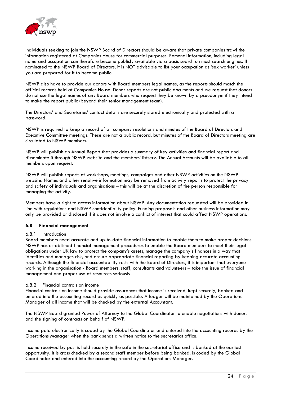

Individuals seeking to join the NSWP Board of Directors should be aware that private companies trawl the information registered at Companies House for commercial purposes. Personal information, including legal name and occupation can therefore become publicly available via a basic search on most search engines. If nominated to the NSWP Board of Directors, it is NOT advisable to list your occupation as 'sex worker' unless you are prepared for it to become public.

NSWP also have to provide our donors with Board members legal names, as the reports should match the official records held at Companies House. Donor reports are not public documents and we request that donors do not use the legal names of any Board members who request they be known by a pseudonym if they intend to make the report public (beyond their senior management team).

The Directors' and Secretaries' contact details are securely stored electronically and protected with a password.

NSWP is required to keep a record of all company resolutions and minutes of the Board of Directors and Executive Committee meetings. These are not a public record, but minutes of the Board of Directors meeting are circulated to NSWP members.

NSWP will publish an Annual Report that provides a summary of key activities and financial report and disseminate it through NSWP website and the members' listserv. The Annual Accounts will be available to all members upon request.

NSWP will publish reports of workshops, meetings, campaigns and other NSWP activities on the NSWP website. Names and other sensitive information may be removed from activity reports to protect the privacy and safety of individuals and organisations – this will be at the discretion of the person responsible for managing the activity.

Members have a right to access information about NSWP. Any documentation requested will be provided in line with regulations and NSWP confidentiality policy. Funding proposals and other business information may only be provided or disclosed if it does not involve a conflict of interest that could affect NSWP operations.

# <span id="page-24-0"></span>**6.8 Financial management**

### 6.8.1 Introduction

Board members need accurate and up-to-date financial information to enable them to make proper decisions. NSWP has established financial management procedures to enable the Board members to meet their legal obligations under UK law to protect the company's assets, manage the company's finances in a way that identifies and manages risk, and ensure appropriate financial reporting by keeping accurate accounting records. Although the financial accountability rests with the Board of Directors, it is important that everyone working in the organisation - Board members, staff, consultants and volunteers – take the issue of financial management and proper use of resources seriously.

# 6.8.2 Financial controls on income

Financial controls on income should provide assurances that income is received, kept securely, banked and entered into the accounting record as quickly as possible. A ledger will be maintained by the Operations Manager of all income that will be checked by the external Accountant.

The NSWP Board granted Power of Attorney to the Global Coordinator to enable negotiations with donors and the signing of contracts on behalf of NSWP.

Income paid electronically is coded by the Global Coordinator and entered into the accounting records by the Operations Manager when the bank sends a written notice to the secretariat office.

Income received by post is held securely in the safe in the secretariat office and is banked at the earliest opportunity. It is cross checked by a second staff member before being banked, is coded by the Global Coordinator and entered into the accounting record by the Operations Manager.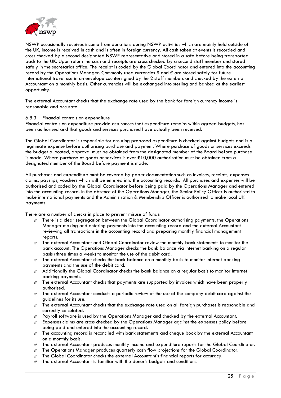

NSWP occasionally receives income from donations during NSWP activities which are mainly held outside of the UK, income is received in cash and is often in foreign currency. All cash taken at events is recorded and cross checked by a second designated NSWP representative and stored in a safe before being transported back to the UK. Upon return the cash and receipts are cross checked by a second staff member and stored safely in the secretariat office. The receipt is coded by the Global Coordinator and entered into the accounting record by the Operations Manager. Commonly used currencies \$ and  $\epsilon$  are stored safely for future international travel use in an envelope countersigned by the 2 staff members and checked by the external Accountant on a monthly basis. Other currencies will be exchanged into sterling and banked at the earliest opportunity.

The external Accountant checks that the exchange rate used by the bank for foreign currency income is reasonable and accurate.

### 6.8.3 Financial controls on expenditure

Financial controls on expenditure provide assurances that expenditure remains within agreed budgets, has been authorised and that goods and services purchased have actually been received.

The Global Coordinator is responsible for ensuring proposed expenditure is checked against budgets and is a legitimate expense before authorising purchase and payment. Where purchase of goods or services exceeds the budget allocated, approval must be obtained from the designated member of the Board before purchase is made. Where purchase of goods or services is over £10,000 authorisation must be obtained from a designated member of the Board before payment is made.

All purchases and expenditure must be covered by paper documentation such as invoices, receipts, expenses claims, payslips, vouchers which will be entered into the accounting records. All purchases and expenses will be authorised and coded by the Global Coordinator before being paid by the Operations Manager and entered into the accounting record. In the absence of the Operations Manager, the Senior Policy Officer is authorised to make international payments and the Administration & Membership Officer is authorised to make local UK payments.

There are a number of checks in place to prevent misuse of funds:

- $\hat{\varphi}$  There is a clear segregation between the Global Coordinator authorising payments, the Operations Manager making and entering payments into the accounting record and the external Accountant reviewing all transactions in the accounting record and preparing monthly financial management reports.
- $\hat{\varphi}$  The external Accountant and Global Coordinator review the monthly bank statements to monitor the bank account. The Operations Manager checks the bank balance via Internet banking on a regular basis (three times a week) to monitor the use of the debit card.
- $\hat{\varphi}$  The external Accountant checks the bank balance on a monthly basis to monitor Internet banking payments and the use of the debit card.
- $\hat{\varphi}$  Additionally the Global Coordinator checks the bank balance on a regular basis to monitor Internet banking payments.
- $\hat{\varphi}$  The external Accountant checks that payments are supported by invoices which have been properly authorised.
- $\hat{\varphi}$  The external Accountant conducts a periodic review of the use of the company debit card against the guidelines for its use.
- $\hat{\varphi}$  The external Accountant checks that the exchange rate used on all foreign purchases is reasonable and correctly calculated.
- $\hat{\varphi}$  Payroll software is used by the Operations Manager and checked by the external Accountant.
- $\hat{\varphi}$  Expenses claims are cross checked by the Operations Manager against the expenses policy before being paid and entered into the accounting record.
- $\hat{\varphi}$  The accounting record is reconciled with bank statements and cheque book by the external Accountant on a monthly basis.
- $\hat{\varphi}$  The external Accountant produces monthly income and expenditure reports for the Global Coordinator.
- $\hat{\varphi}$  The Operations Manager produces quarterly cash flow projections for the Global Coordinator.
- $\hat{\varphi}$  The Global Coordinator checks the external Accountant's financial reports for accuracy.
- $\hat{\varphi}$  The external Accountant is familiar with the donor's budgets and conditions.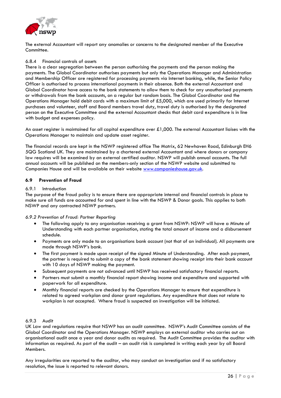

The external Accountant will report any anomalies or concerns to the designated member of the Executive Committee.

### 6.8.4 Financial controls of assets

There is a clear segregation between the person authorising the payments and the person making the payments. The Global Coordinator authorises payments but only the Operations Manager and Administration and Membership Officer are registered for processing payments via Internet banking, while, the Senior Policy Officer is authorised to process international payments in their absence. Both the external Accountant and Global Coordinator have access to the bank statements to allow them to check for any unauthorised payments or withdrawals from the bank accounts, on a regular but random basis. The Global Coordinator and the Operations Manager hold debit cards with a maximum limit of £5,000, which are used primarily for Internet purchases and volunteer, staff and Board members travel duty, travel duty is authorised by the designated person on the Executive Committee and the external Accountant checks that debit card expenditure is in line with budget and expenses policy.

An asset register is maintained for all capital expenditure over £1,000. The external Accountant liaises with the Operations Manager to maintain and update asset register.

The financial records are kept in the NSWP registered office The Matrix, 62 Newhaven Road, Edinburgh EH6 5QG Scotland UK. They are maintained by a chartered external Accountant and where donors or company law requires will be examined by an external certified auditor. NSWP will publish annual accounts. The full annual accounts will be published on the members-only section of the NSWP website and submitted to Companies House and will be available on their website [www.companieshouse.gov.uk.](http://www.companieshouse.gov.uk/)

### <span id="page-26-0"></span>**6.9 Prevention of Fraud**

### 6.9.1 Introduction

The purpose of the fraud policy is to ensure there are appropriate internal and financial controls in place to make sure all funds are accounted for and spent in line with the NSWP & Donor goals. This applies to both NSWP and any contracted NSWP partners.

*6.9.2 Prevention of Fraud: Partner Reporting*

- The following apply to any organisation receiving a grant from NSWP: NSWP will have a Minute of Understanding with each partner organisation, stating the total amount of income and a disbursement schedule.
- Payments are only made to an organisations bank account (not that of an individual). All payments are made through NSWP's bank.
- The first payment is made upon receipt of the signed Minute of Understanding. After each payment, the partner is required to submit a copy of the bank statement showing receipt into their bank account with 10 days of NSWP making the payment.
- Subsequent payments are not advanced until NSWP has received satisfactory financial reports.
- Partners must submit a monthly financial report showing income and expenditure and supported with paperwork for all expenditure.
- Monthly financial reports are checked by the Operations Manager to ensure that expenditure is related to agreed workplan and donor grant regulations. Any expenditure that does not relate to workplan is not accepted. Where fraud is suspected an investigation will be initiated.

### 6.9.3 Audit

UK Law and regulations require that NSWP has an audit committee. NSWP's Audit Committee consists of the Global Coordinator and the Operations Manager. NSWP employs an external auditor who carries out an organisational audit once a year and donor audits as required. The Audit Committee provides the auditor with information as required. As part of the audit – an audit risk is completed in writing each year by all Board Members.

Any irregularities are reported to the auditor, who may conduct an investigation and if no satisfactory resolution, the issue is reported to relevant donors.